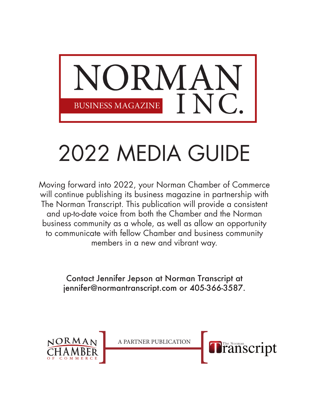

## 2022 MEDIA GUIDE

Moving forward into 2022, your Norman Chamber of Commerce will continue publishing its business magazine in partnership with The Norman Transcript. This publication will provide a consistent and up-to-date voice from both the Chamber and the Norman business community as a whole, as well as allow an opportunity to communicate with fellow Chamber and business community members in a new and vibrant way.

> Contact Jennifer Jepson at Norman Transcript at [jennifer@normantranscript.com](mailto:jennifer@normantranscript.com) or 405-366-3587.